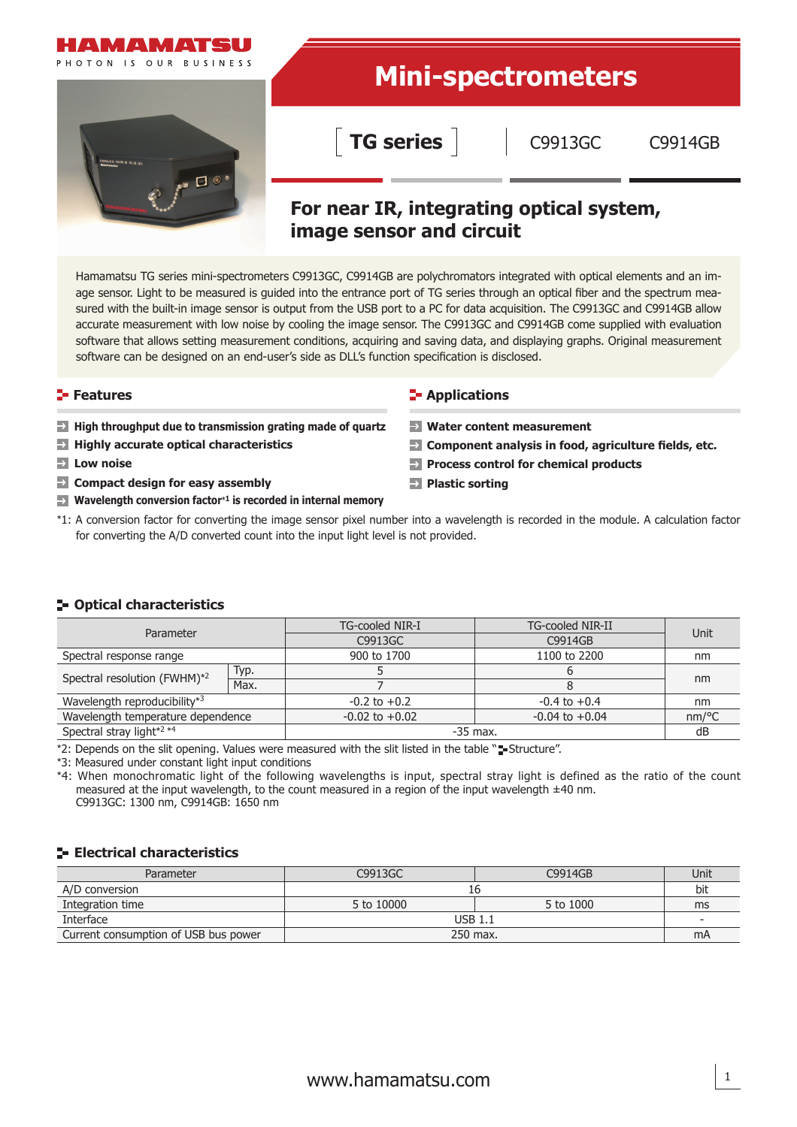

# **Mini-spectrometers**

**TG series**

C9913GC C9914GB

# **For near IR, integrating optical system, image sensor and circuit**

Hamamatsu TG series mini-spectrometers C9913GC, C9914GB are polychromators integrated with optical elements and an image sensor. Light to be measured is guided into the entrance port of TG series through an optical fiber and the spectrum measured with the built-in image sensor is output from the USB port to a PC for data acquisition. The C9913GC and C9914GB allow accurate measurement with low noise by cooling the image sensor. The C9913GC and C9914GB come supplied with evaluation software that allows setting measurement conditions, acquiring and saving data, and displaying graphs. Original measurement software can be designed on an end-user's side as DLL's function specification is disclosed.

- **High throughput due to transmission grating made of quartz**
- **Highly accurate optical characteristics**
- **Low noise**
- **EX Compact design for easy assembly**
- **Wavelength conversion factor**\***1 is recorded in internal memory**

#### **Features Contract Contract Contract Contract Contract Contract Contract Contract Contract Contract Contract Contract Contract Contract Contract Contract Contract Contract Contract Contract Contract Contract Contract Con**

- **Water content measurement**
- **Component analysis in food, agriculture fields, etc.**
- **Process control for chemical products**
- **Plastic sorting**
- \*1: A conversion factor for converting the image sensor pixel number into a wavelength is recorded in the module. A calculation factor for converting the A/D converted count into the input light level is not provided.

#### **F- Optical characteristics**

| Parameter                         |      | TG-cooled NIR-I    | TG-cooled NIR-II   | Unit                |  |
|-----------------------------------|------|--------------------|--------------------|---------------------|--|
|                                   |      | C9913GC            | C9914GB            |                     |  |
| Spectral response range           |      | 900 to 1700        | 1100 to 2200       | nm                  |  |
| Spectral resolution (FWHM)*2      | Typ. |                    |                    | nm                  |  |
|                                   | Max. |                    |                    |                     |  |
| Wavelength reproducibility*3      |      | $-0.2$ to $+0.2$   | $-0.4$ to $+0.4$   | nm                  |  |
| Wavelength temperature dependence |      | $-0.02$ to $+0.02$ | $-0.04$ to $+0.04$ | $nm$ <sup>o</sup> C |  |
| Spectral stray light*2 *4         |      | $-35$ max.         |                    | dB                  |  |

\*2: Depends on the slit opening. Values were measured with the slit listed in the table "sustructure".

\*3: Measured under constant light input conditions

\*4: When monochromatic light of the following wavelengths is input, spectral stray light is defined as the ratio of the count measured at the input wavelength, to the count measured in a region of the input wavelength ±40 nm. C9913GC: 1300 nm, C9914GB: 1650 nm

#### **Electrical characteristics**

| Parameter                            | C9913GC    | C9914GB   | Unit                     |
|--------------------------------------|------------|-----------|--------------------------|
| A/D conversion                       |            |           | bit                      |
| Integration time                     | 5 to 10000 | 5 to 1000 | ms                       |
| Interface                            | $USB$ 1.1  |           | $\overline{\phantom{a}}$ |
| Current consumption of USB bus power | 250 max.   |           | mA                       |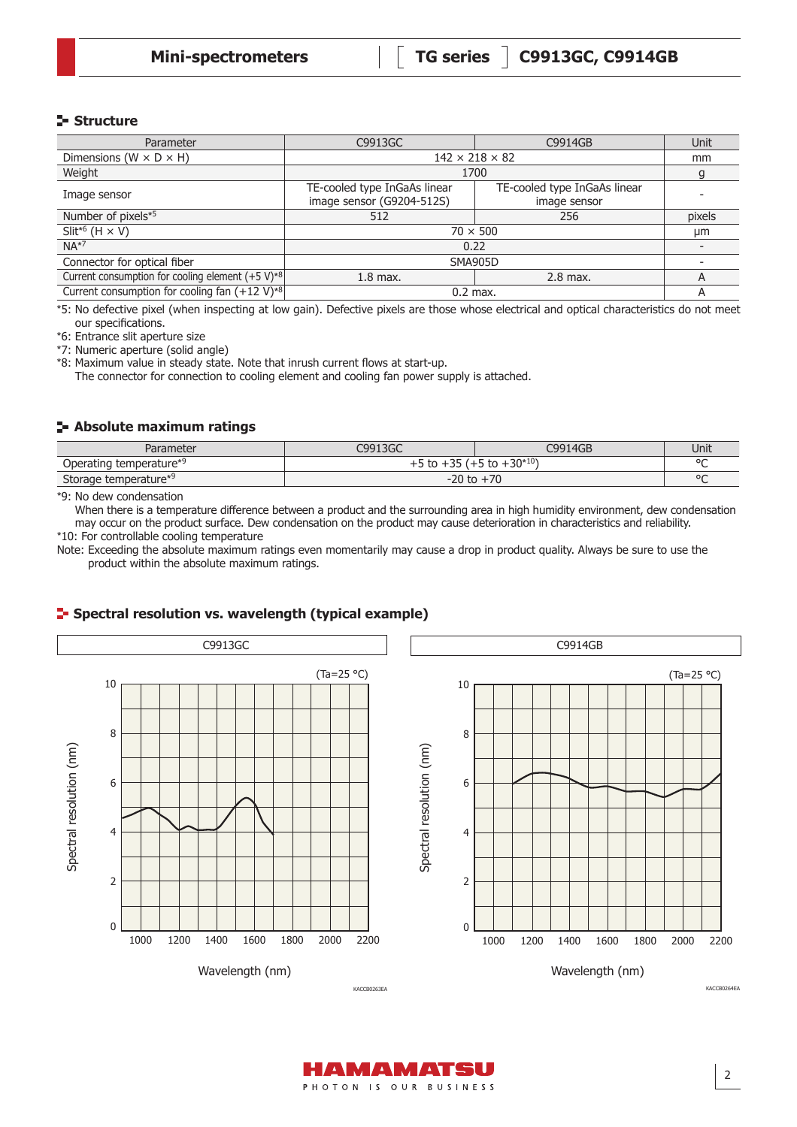#### **Structure**

| Parameter                                                  | C9913GC                                                   | C9914GB                                      | Unit   |
|------------------------------------------------------------|-----------------------------------------------------------|----------------------------------------------|--------|
| Dimensions ( $W \times D \times H$ )                       | $142 \times 218 \times 82$                                |                                              | mm     |
| Weight                                                     | 1700                                                      |                                              | g      |
| Image sensor                                               | TE-cooled type InGaAs linear<br>image sensor (G9204-512S) | TE-cooled type InGaAs linear<br>image sensor |        |
| Number of pixels*5                                         | 512                                                       | 256                                          | pixels |
| Slit <sup>*6</sup> (H $\times$ V)                          | $70 \times 500$                                           |                                              | μm     |
| $NA*7$                                                     | 0.22                                                      |                                              |        |
| Connector for optical fiber                                | <b>SMA905D</b>                                            |                                              |        |
| Current consumption for cooling element $(+5 V)^{*8}$      | $1.8$ max.                                                | $2.8$ max.                                   | A      |
| Current consumption for cooling fan $(+12 \text{ V})^{*8}$ |                                                           | $0.2$ max.                                   |        |

\*5: No defective pixel (when inspecting at low gain). Defective pixels are those whose electrical and optical characteristics do not meet our specifications.

\*6: Entrance slit aperture size

\*7: Numeric aperture (solid angle)

\*8: Maximum value in steady state. Note that inrush current flows at start-up.

The connector for connection to cooling element and cooling fan power supply is attached.

#### **Absolute maximum ratings**

| Parameter               | C9913GC                            | C9914GB | Unit    |
|-------------------------|------------------------------------|---------|---------|
| Operating temperature*9 | $+5$ to $+35$ ( $+5$ to $+30*10$ ) |         | $\circ$ |
| Storage temperature*9   | $-20$ to $+70$                     |         | $\circ$ |

\*9: No dew condensation

When there is a temperature difference between a product and the surrounding area in high humidity environment, dew condensation may occur on the product surface. Dew condensation on the product may cause deterioration in characteristics and reliability.

\*10: For controllable cooling temperature

Note: Exceeding the absolute maximum ratings even momentarily may cause a drop in product quality. Always be sure to use the product within the absolute maximum ratings.

#### C9913GC C9914GB(Ta=25 °C) (Ta=25 °C) 10 10 8 8 Spectral resolution (nm) Spectral resolution (nm) spectral resolution (nm) Spectral resolution (nm) 6 6 4 4 2 2  $\Omega$ 0 1000 1200 1400 1600 1800 2000 2200 1000 1200 1400 1600 1800 2000 2200 Wavelength (nm) Wavelength (nm) KACCB0264EA KACCB0263EA

#### **F** Spectral resolution vs. wavelength (typical example)

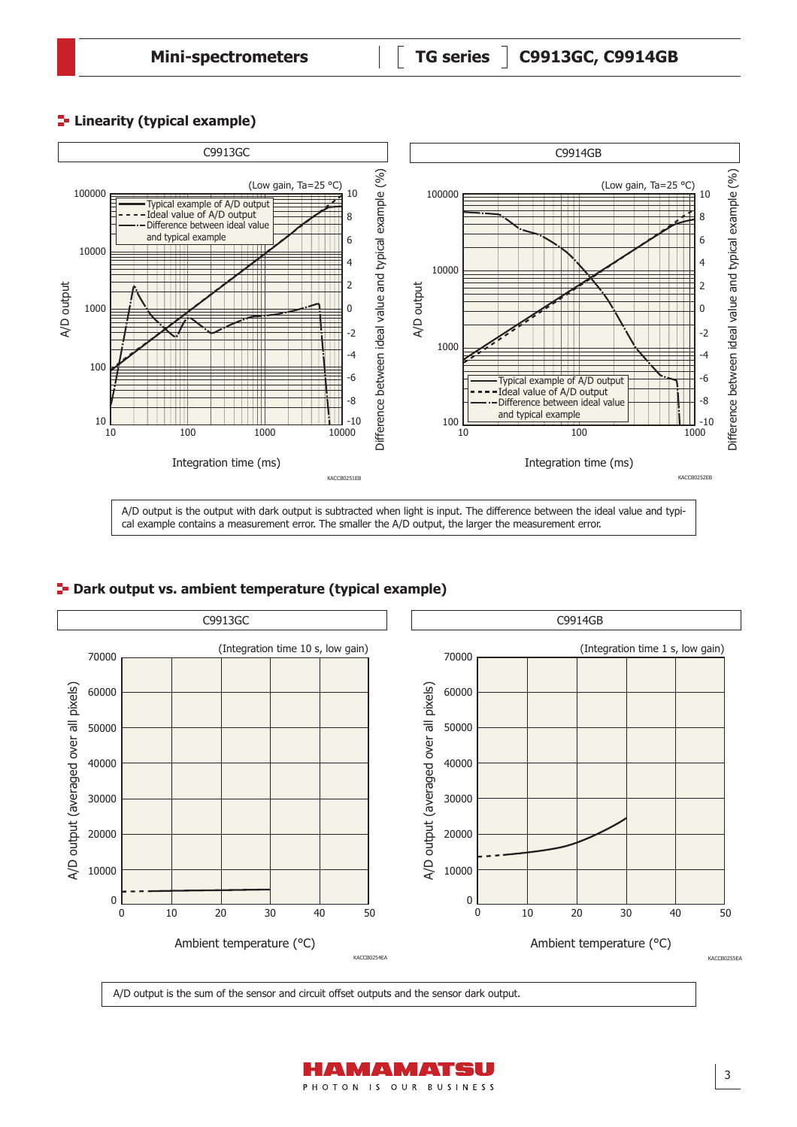## **Linearity (typical example)**



#### **Park output vs. ambient temperature (typical example)**



A/D output is the sum of the sensor and circuit offset outputs and the sensor dark output.

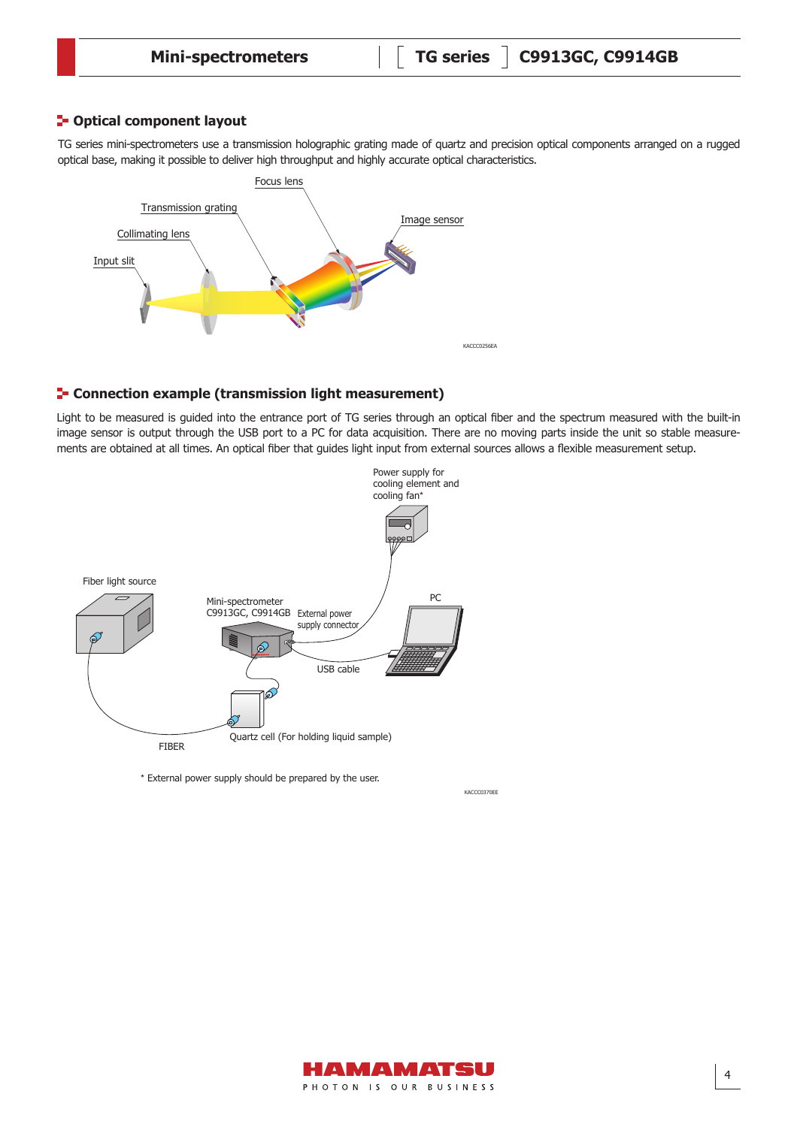#### **P**-Optical component layout

TG series mini-spectrometers use a transmission holographic grating made of quartz and precision optical components arranged on a rugged optical base, making it possible to deliver high throughput and highly accurate optical characteristics.



#### **F** Connection example (transmission light measurement)

Light to be measured is guided into the entrance port of TG series through an optical fiber and the spectrum measured with the built-in image sensor is output through the USB port to a PC for data acquisition. There are no moving parts inside the unit so stable measurements are obtained at all times. An optical fiber that guides light input from external sources allows a flexible measurement setup.



\* External power supply should be prepared by the user.



KACCC0370EE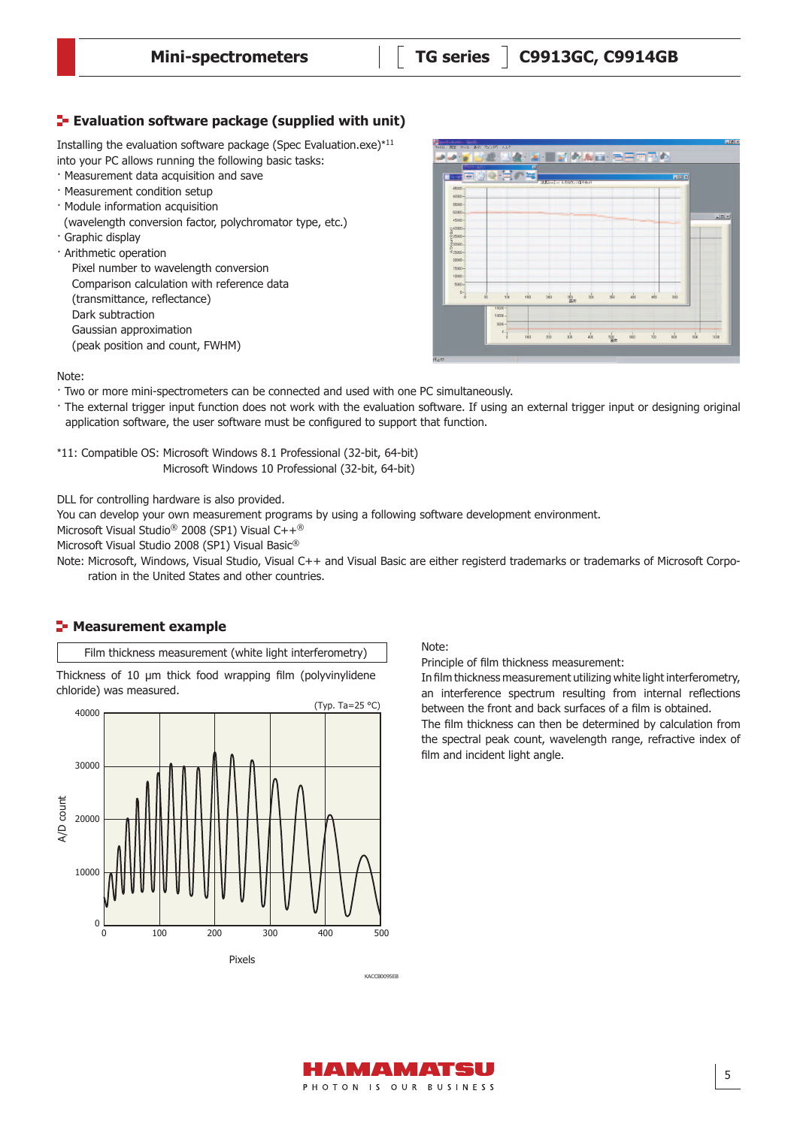#### **Evaluation software package (supplied with unit)**

Installing the evaluation software package (Spec Evaluation.exe)\*<sup>11</sup> into your PC allows running the following basic tasks:

- · Measurement data acquisition and save
- · Measurement condition setup
- · Module information acquisition
- (wavelength conversion factor, polychromator type, etc.)
- · Graphic display
- · Arithmetic operation

Pixel number to wavelength conversion Comparison calculation with reference data (transmittance, reflectance) Dark subtraction Gaussian approximation (peak position and count, FWHM)



#### Note:

· Two or more mini-spectrometers can be connected and used with one PC simultaneously.

· The external trigger input function does not work with the evaluation software. If using an external trigger input or designing original application software, the user software must be configured to support that function.

\*11: Compatible OS: Microsoft Windows 8.1 Professional (32-bit, 64-bit) Microsoft Windows 10 Professional (32-bit, 64-bit)

DLL for controlling hardware is also provided.

You can develop your own measurement programs by using a following software development environment.

Microsoft Visual Studio® 2008 (SP1) Visual C++®

Microsoft Visual Studio 2008 (SP1) Visual Basic®

Note: Microsoft, Windows, Visual Studio, Visual C++ and Visual Basic are either registerd trademarks or trademarks of Microsoft Corporation in the United States and other countries.

#### **E-** Measurement example

Film thickness measurement (white light interferometry)

Thickness of 10 μm thick food wrapping film (polyvinylidene chloride) was measured.



Note:

Principle of film thickness measurement:

In film thickness measurement utilizing white light interferometry, an interference spectrum resulting from internal reflections between the front and back surfaces of a film is obtained.

The film thickness can then be determined by calculation from the spectral peak count, wavelength range, refractive index of film and incident light angle.

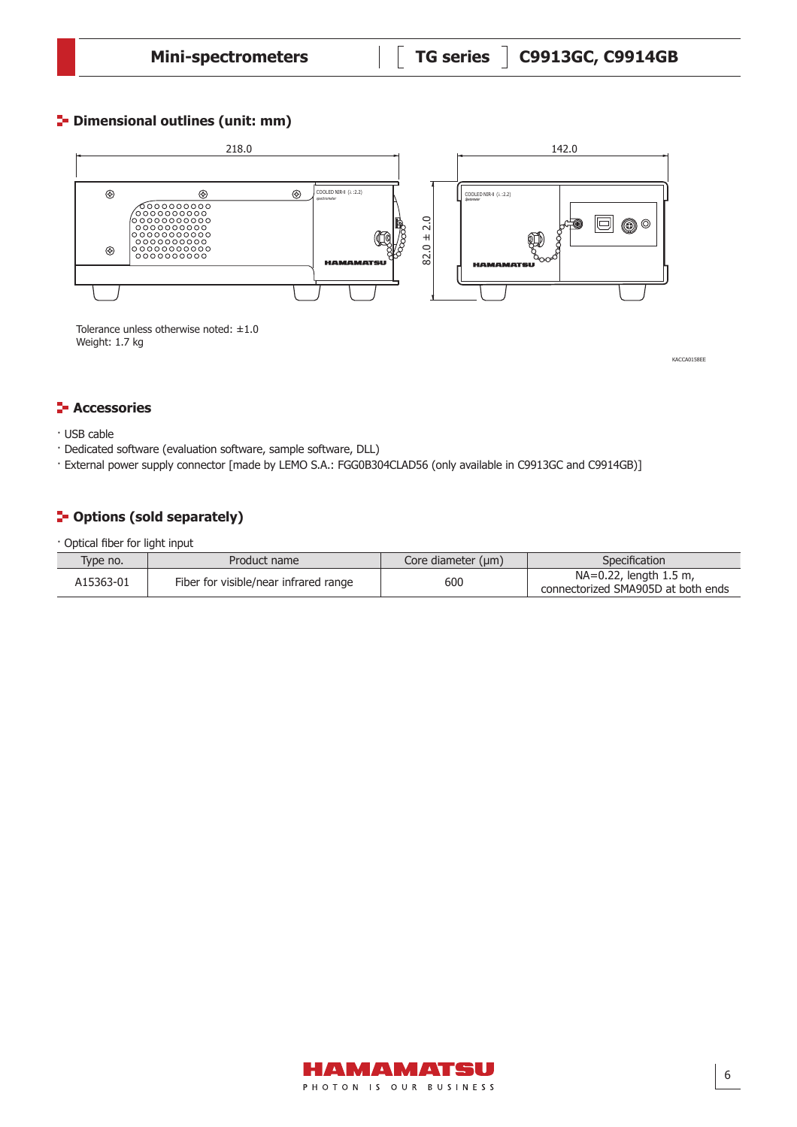## **P** Dimensional outlines (unit: mm)



Tolerance unless otherwise noted: ±1.0 Weight: 1.7 kg

KACCA0158EE

#### **F** Accessories

- · USB cable
- · Dedicated software (evaluation software, sample software, DLL)
- · External power supply connector [made by LEMO S.A.: FGG0B304CLAD56 (only available in C9913GC and C9914GB)]

# **P**-Options (sold separately)

· Optical fiber for light input

| Type no.  | Product name                          | Core diameter (um) | Specification                                                |
|-----------|---------------------------------------|--------------------|--------------------------------------------------------------|
| A15363-01 | Fiber for visible/near infrared range | 600                | NA=0.22, length 1.5 m,<br>connectorized SMA905D at both ends |